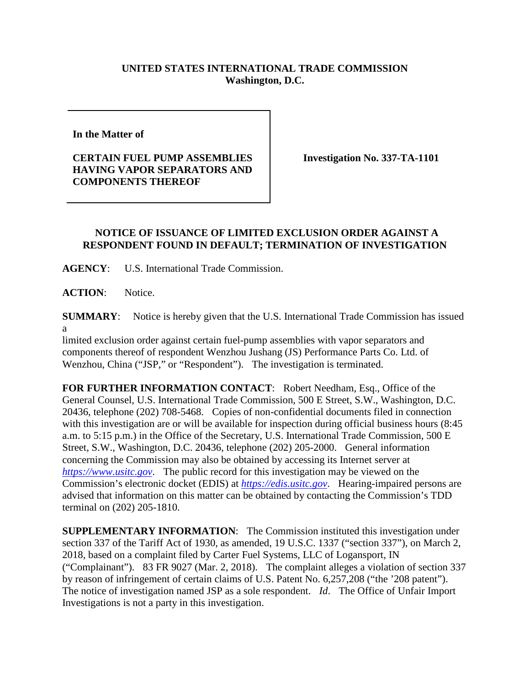## **UNITED STATES INTERNATIONAL TRADE COMMISSION Washington, D.C.**

**In the Matter of**

**CERTAIN FUEL PUMP ASSEMBLIES HAVING VAPOR SEPARATORS AND COMPONENTS THEREOF**

**Investigation No. 337-TA-1101**

## **NOTICE OF ISSUANCE OF LIMITED EXCLUSION ORDER AGAINST A RESPONDENT FOUND IN DEFAULT; TERMINATION OF INVESTIGATION**

**AGENCY**: U.S. International Trade Commission.

**ACTION**: Notice.

**SUMMARY**: Notice is hereby given that the U.S. International Trade Commission has issued a

limited exclusion order against certain fuel-pump assemblies with vapor separators and components thereof of respondent Wenzhou Jushang (JS) Performance Parts Co. Ltd. of Wenzhou, China ("JSP," or "Respondent"). The investigation is terminated.

**FOR FURTHER INFORMATION CONTACT**: Robert Needham, Esq., Office of the General Counsel, U.S. International Trade Commission, 500 E Street, S.W., Washington, D.C. 20436, telephone (202) 708-5468. Copies of non-confidential documents filed in connection with this investigation are or will be available for inspection during official business hours (8:45 a.m. to 5:15 p.m.) in the Office of the Secretary, U.S. International Trade Commission, 500 E Street, S.W., Washington, D.C. 20436, telephone (202) 205-2000. General information concerning the Commission may also be obtained by accessing its Internet server at *[https://www.usitc.gov](https://www.usitc.gov/)*. The public record for this investigation may be viewed on the Commission's electronic docket (EDIS) at *[https://edis.usitc.gov](https://edis.usitc.gov/)*. Hearing-impaired persons are advised that information on this matter can be obtained by contacting the Commission's TDD terminal on (202) 205-1810.

**SUPPLEMENTARY INFORMATION**: The Commission instituted this investigation under section 337 of the Tariff Act of 1930, as amended, 19 U.S.C. 1337 ("section 337"), on March 2, 2018, based on a complaint filed by Carter Fuel Systems, LLC of Logansport, IN ("Complainant"). 83 FR 9027 (Mar. 2, 2018). The complaint alleges a violation of section 337 by reason of infringement of certain claims of U.S. Patent No. 6,257,208 ("the '208 patent"). The notice of investigation named JSP as a sole respondent. *Id*. The Office of Unfair Import Investigations is not a party in this investigation.